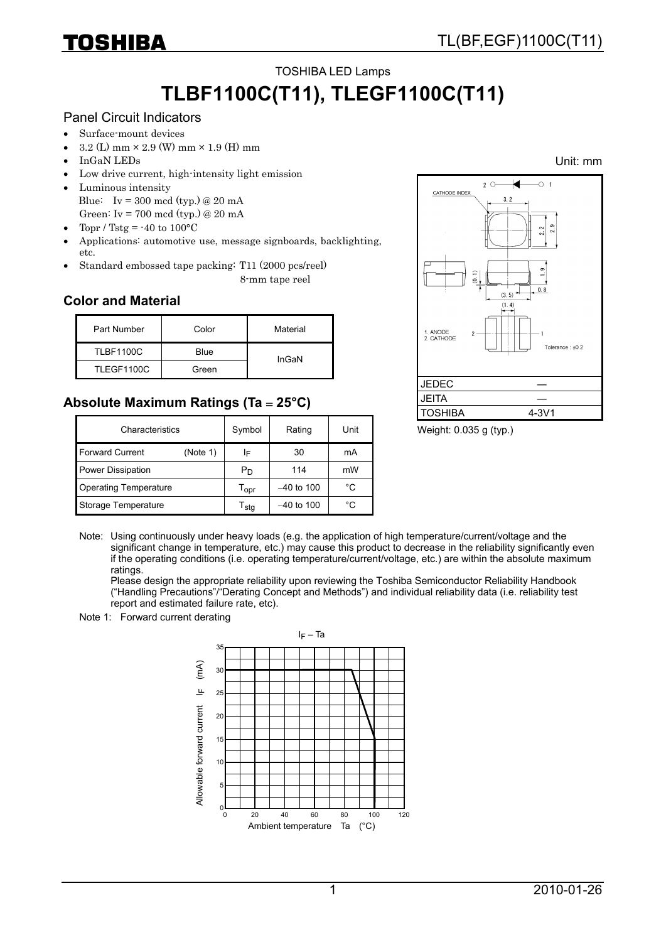## TOSHIBA LED Lamps **TLBF1100C(T11), TLEGF1100C(T11)**

#### Panel Circuit Indicators

- Surface-mount devices
- $1.2 \text{ (L) mm} \times 2.9 \text{ (W) mm} \times 1.9 \text{ (H) mm}$
- InGaN LEDs
- Low drive current, high-intensity light emission
- Luminous intensity Blue: Iv = 300 mcd (typ.) @ 20 mA
- Green: Iv = 700 mcd (typ.) @ 20 mA
- Topr / Tstg =  $-40$  to  $100^{\circ}$ C
- Applications: automotive use, message signboards, backlighting, etc.
- Standard embossed tape packing: T11 (2000 pcs/reel)

8-mm tape reel

### **Color and Material**

| Part Number      | Color | Material |
|------------------|-------|----------|
| <b>TLBF1100C</b> | Blue  | InGaN    |
| TLEGF1100C       | Green |          |

## **Absolute Maximum Ratings (Ta** = **25°C)**

| Characteristics              | Symbol   | Rating                      | Unit         |    |
|------------------------------|----------|-----------------------------|--------------|----|
| <b>Forward Current</b>       | (Note 1) | ΙF                          | 30           | mA |
| <b>Power Dissipation</b>     |          | P <sub>D</sub>              | 114          | mW |
| <b>Operating Temperature</b> |          | $\mathsf{T}_{\mathsf{opr}}$ | $-40$ to 100 | °C |
| Storage Temperature          |          | $\mathsf{T}_{\textsf{stg}}$ | $-40$ to 100 | °C |



#### Weight: 0.035 g (typ.)

Note: Using continuously under heavy loads (e.g. the application of high temperature/current/voltage and the significant change in temperature, etc.) may cause this product to decrease in the reliability significantly even if the operating conditions (i.e. operating temperature/current/voltage, etc.) are within the absolute maximum ratings.

Please design the appropriate reliability upon reviewing the Toshiba Semiconductor Reliability Handbook ("Handling Precautions"/"Derating Concept and Methods") and individual reliability data (i.e. reliability test report and estimated failure rate, etc).

#### Note 1: Forward current derating



Unit: mm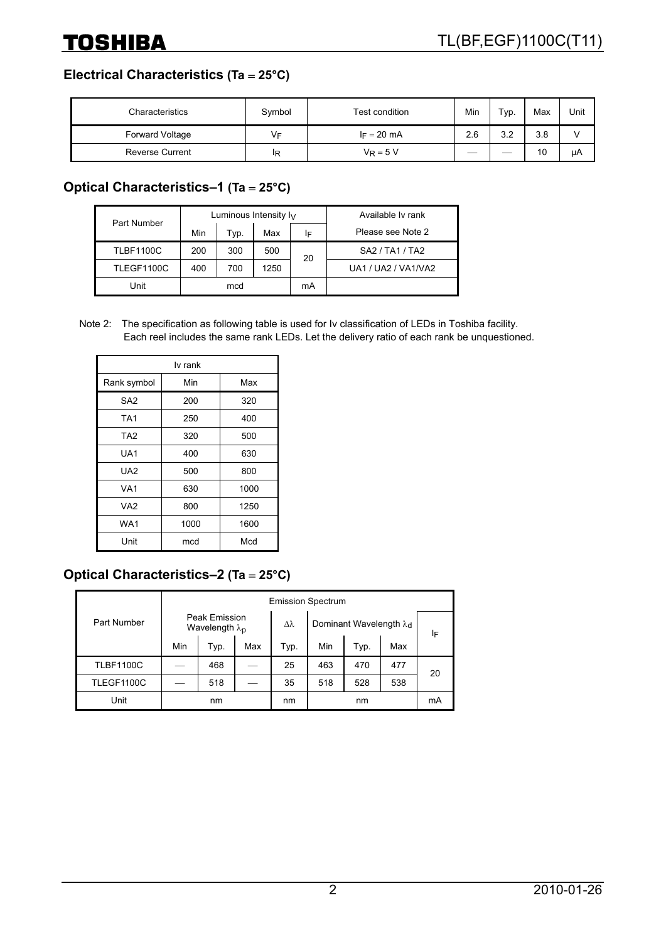## **Electrical Characteristics (Ta** = **25°C)**

| Characteristics        | Symbol | Test condition | Min | Typ. | Max | Unit |
|------------------------|--------|----------------|-----|------|-----|------|
| Forward Voltage        | Vс     | $I_F = 20$ mA  | 2.6 | 3.2  | 3.8 |      |
| <b>Reverse Current</b> | ΙR     | $V_R = 5 V$    |     | __   | 10  | uА   |

### **Optical Characteristics–1 (Ta** = **25°C)**

| Part Number      |     |      | Luminous Intensity $I_V$ | Available Iv rank |                     |
|------------------|-----|------|--------------------------|-------------------|---------------------|
|                  | Min | Typ. | Max                      | ΙF                | Please see Note 2   |
| <b>TLBF1100C</b> | 200 | 300  | 500                      | 20                | SA2 / TA1 / TA2     |
| TLEGF1100C       | 400 | 700  | 1250                     |                   | UA1 / UA2 / VA1/VA2 |
| Unit             | mcd |      |                          | mA                |                     |

Note 2: The specification as following table is used for Iv classification of LEDs in Toshiba facility. Each reel includes the same rank LEDs. Let the delivery ratio of each rank be unquestioned.

| lv rank         |      |      |  |  |  |  |
|-----------------|------|------|--|--|--|--|
| Rank symbol     | Min  | Max  |  |  |  |  |
| SA <sub>2</sub> | 200  | 320  |  |  |  |  |
| TA <sub>1</sub> | 250  | 400  |  |  |  |  |
| TA <sub>2</sub> | 320  | 500  |  |  |  |  |
| UA1             | 400  | 630  |  |  |  |  |
| UA2             | 500  | 800  |  |  |  |  |
| VA <sub>1</sub> | 630  | 1000 |  |  |  |  |
| VA <sub>2</sub> | 800  | 1250 |  |  |  |  |
| WA1             | 1000 | 1600 |  |  |  |  |
| Unit            | mcd  | Mcd  |  |  |  |  |

## **Optical Characteristics–2 (Ta** = **25°C)**

|                  |                                           | <b>Emission Spectrum</b> |     |                                    |     |      |     |    |
|------------------|-------------------------------------------|--------------------------|-----|------------------------------------|-----|------|-----|----|
| Part Number      | Peak Emission<br>Wavelength $\lambda_{p}$ |                          | Δλ  | Dominant Wavelength λ <sub>d</sub> |     | ΙF   |     |    |
|                  | Min                                       | Typ.                     | Max | Typ.                               | Min | Typ. | Max |    |
| <b>TLBF1100C</b> |                                           | 468                      |     | 25                                 | 463 | 470  | 477 | 20 |
| TLEGF1100C       |                                           | 518                      |     | 35                                 | 518 | 528  | 538 |    |
| Unit             | nm                                        |                          | nm  |                                    | nm  |      | mA  |    |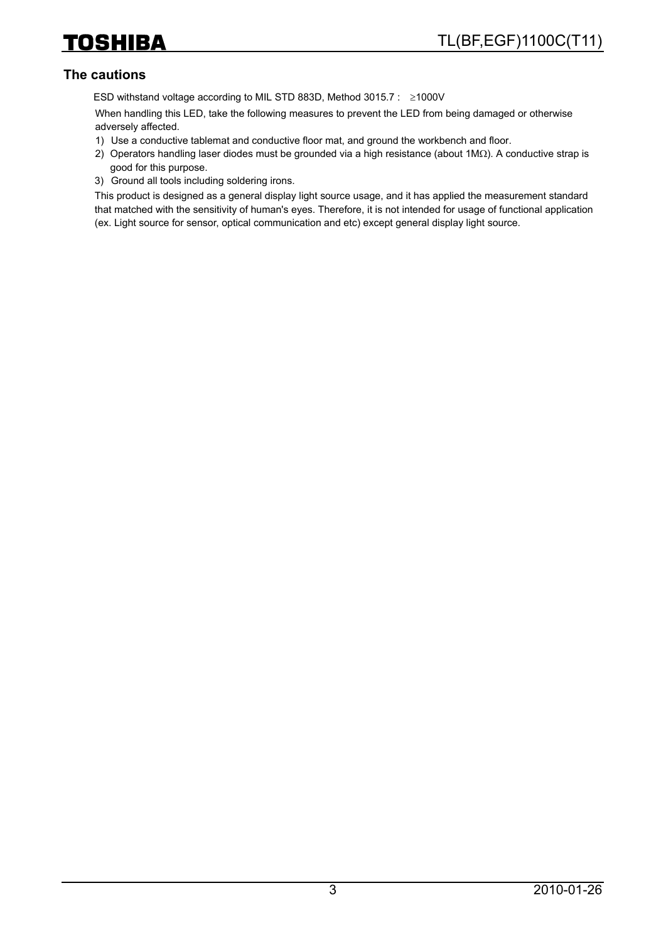### **The cautions**

ESD withstand voltage according to MIL STD 883D, Method 3015.7 : ≥1000V

When handling this LED, take the following measures to prevent the LED from being damaged or otherwise adversely affected.

- 1) Use a conductive tablemat and conductive floor mat, and ground the workbench and floor.
- 2) Operators handling laser diodes must be grounded via a high resistance (about 1MΩ). A conductive strap is good for this purpose.
- 3) Ground all tools including soldering irons.

This product is designed as a general display light source usage, and it has applied the measurement standard that matched with the sensitivity of human's eyes. Therefore, it is not intended for usage of functional application (ex. Light source for sensor, optical communication and etc) except general display light source.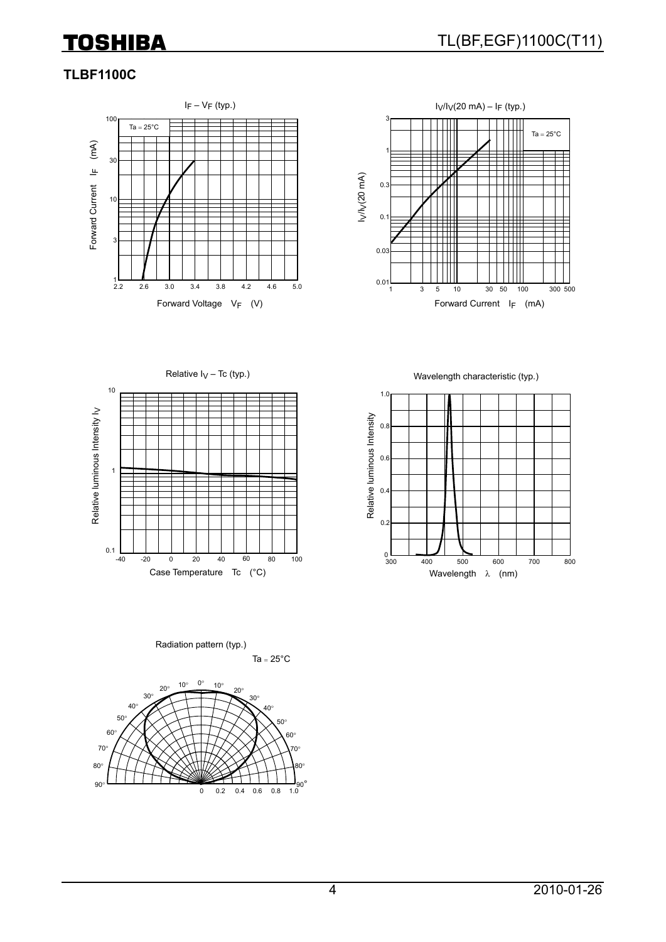### **TLBF1100C**





Relative  $I_V$  – Tc (typ.)



Wavelength characteristic (typ.)



Ta =  $25^{\circ}$ C Radiation pattern (typ.)

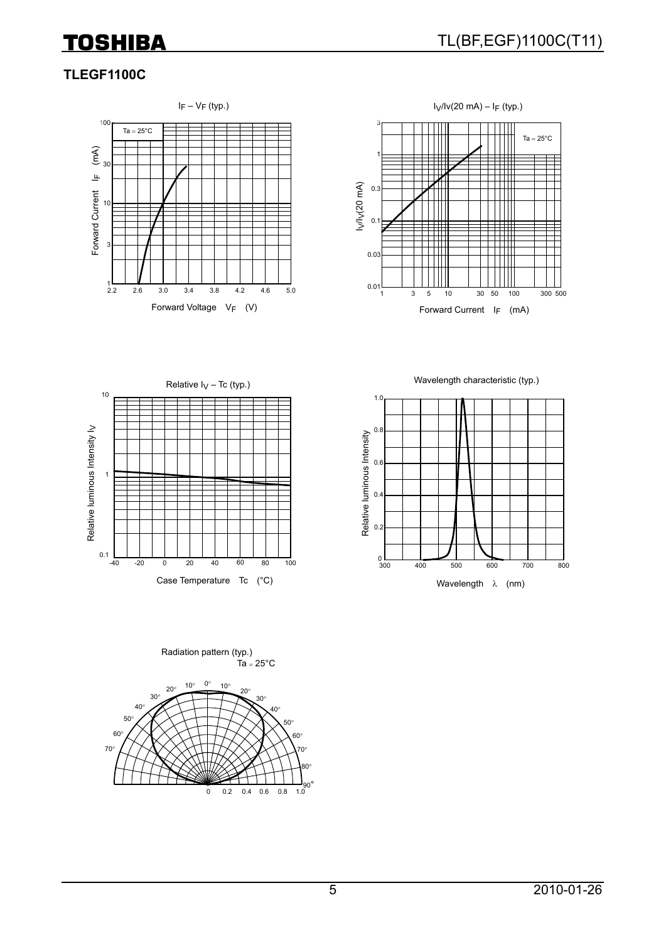### **TLEGF1100C**





Wavelength characteristic (typ.)





 $Ta = 25^{\circ}C$ 30° 0° 60°  $7.8$ 30° 60°  $0 \t 0.2 \t 0.4 \t 0.6 \t 0.8$ 80° 70° 50° 40°  $10^\circ$  20 70° 50° 40° <sup>20</sup>° <sup>10</sup>° Radiation pattern (typ.)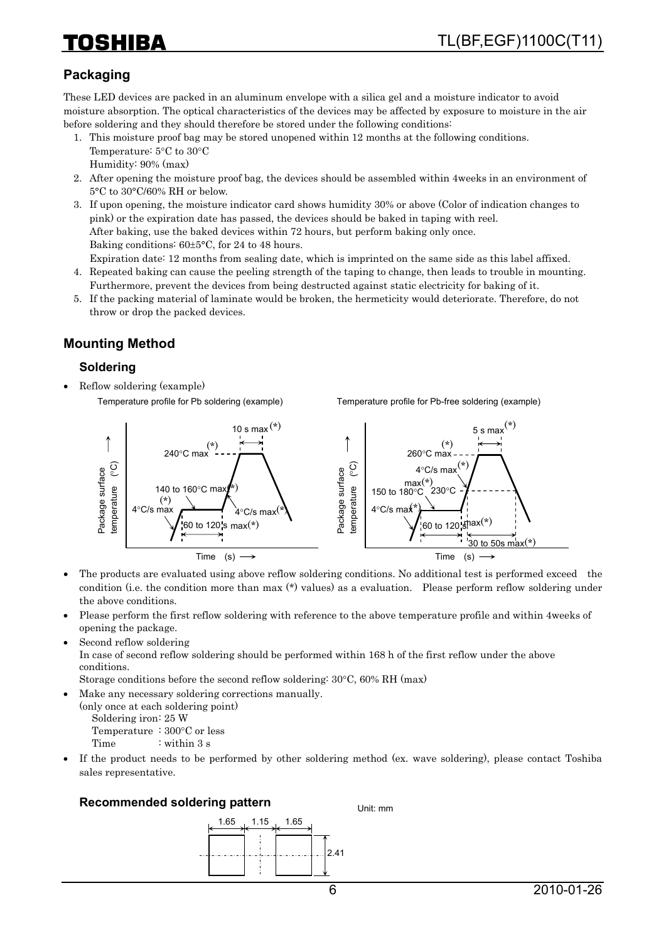## 21 I E 7 A

## **Packaging**

These LED devices are packed in an aluminum envelope with a silica gel and a moisture indicator to avoid moisture absorption. The optical characteristics of the devices may be affected by exposure to moisture in the air before soldering and they should therefore be stored under the following conditions:

- 1. This moisture proof bag may be stored unopened within 12 months at the following conditions. Temperature: 5°C to 30°C Humidity: 90% (max)
- 2. After opening the moisture proof bag, the devices should be assembled within 4weeks in an environment of 5°C to 30°C/60% RH or below.
- 3. If upon opening, the moisture indicator card shows humidity 30% or above (Color of indication changes to pink) or the expiration date has passed, the devices should be baked in taping with reel. After baking, use the baked devices within 72 hours, but perform baking only once. Baking conditions: 60±5°C, for 24 to 48 hours.
- Expiration date: 12 months from sealing date, which is imprinted on the same side as this label affixed. 4. Repeated baking can cause the peeling strength of the taping to change, then leads to trouble in mounting. Furthermore, prevent the devices from being destructed against static electricity for baking of it.
- 5. If the packing material of laminate would be broken, the hermeticity would deteriorate. Therefore, do not throw or drop the packed devices.

## **Mounting Method**

### **Soldering**

• Reflow soldering (example)

Temperature profile for Pb soldering (example)

Temperature profile for Pb-free soldering (example)



- The products are evaluated using above reflow soldering conditions. No additional test is performed exceed the condition (i.e. the condition more than max (\*) values) as a evaluation. Please perform reflow soldering under the above conditions.
- Please perform the first reflow soldering with reference to the above temperature profile and within 4weeks of opening the package.
- Second reflow soldering

In case of second reflow soldering should be performed within 168 h of the first reflow under the above conditions.

Storage conditions before the second reflow soldering: 30°C, 60% RH (max)

• Make any necessary soldering corrections manually. (only once at each soldering point)

Soldering iron: 25 W Temperature : 300°C or less

Time : within 3 s

• If the product needs to be performed by other soldering method (ex. wave soldering), please contact Toshiba sales representative.

Unit: mm

#### **Recommended soldering pattern**

1.65 1.15 2.41 1.65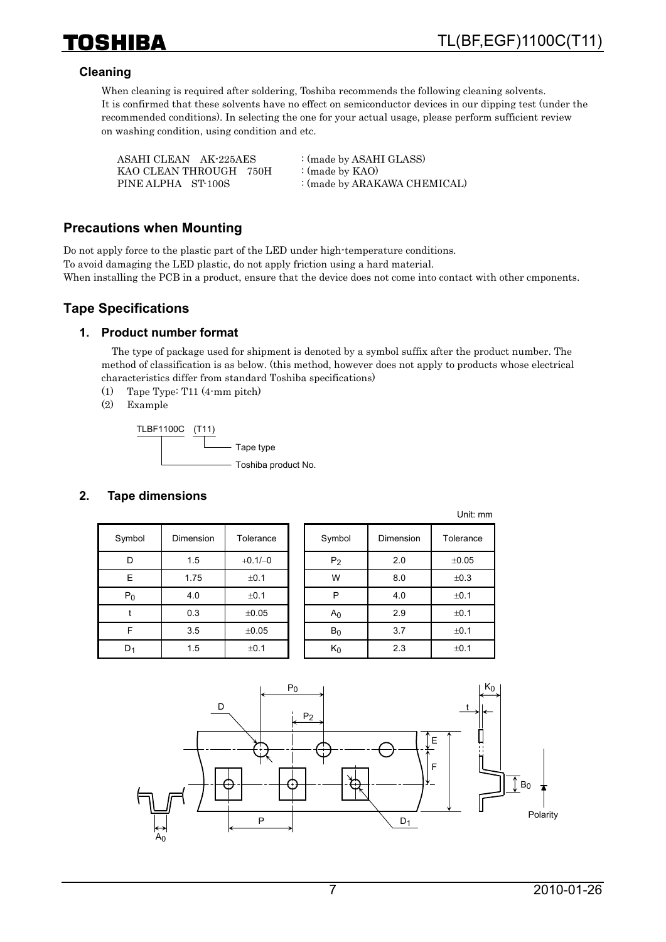

### **Cleaning**

When cleaning is required after soldering, Toshiba recommends the following cleaning solvents. It is confirmed that these solvents have no effect on semiconductor devices in our dipping test (under the recommended conditions). In selecting the one for your actual usage, please perform sufficient review on washing condition, using condition and etc.

| ASAHI CLEAN AK-225AES  | : (made by ASAHI GLASS)      |
|------------------------|------------------------------|
| KAO CLEAN THROUGH 750H | : (made by $KAO$ )           |
| PINE ALPHA ST-100S     | : (made by ARAKAWA CHEMICAL) |

### **Precautions when Mounting**

Do not apply force to the plastic part of the LED under high-temperature conditions. To avoid damaging the LED plastic, do not apply friction using a hard material. When installing the PCB in a product, ensure that the device does not come into contact with other cmponents.

### **Tape Specifications**

#### **1. Product number format**

The type of package used for shipment is denoted by a symbol suffix after the product number. The method of classification is as below. (this method, however does not apply to products whose electrical characteristics differ from standard Toshiba specifications)

- (1) Tape Type: T11 (4-mm pitch)
- (2) Example



### **2. Tape dimensions**

| Symbol | <b>Dimension</b> | Tolerance | Symbol         | <b>Dimension</b> | Tolerance |
|--------|------------------|-----------|----------------|------------------|-----------|
| D      | 1.5              | $+0.1/-0$ | P <sub>2</sub> | 2.0              | ±0.05     |
| E      | 1.75             | ±0.1      | W              | 8.0              | ±0.3      |
| $P_0$  | 4.0              | ±0.1      | P              | 4.0              | ±0.1      |
|        | 0.3              | ±0.05     | A <sub>0</sub> | 2.9              | ±0.1      |
| F      | 3.5              | ±0.05     | $B_0$          | 3.7              | ±0.1      |
| $D_1$  | 1.5              | ±0.1      | $K_0$          | 2.3              | ±0.1      |

|                |           | ◡╷╷╷. ╷╷╷╷ |
|----------------|-----------|------------|
| Symbol         | Dimension | Tolerance  |
| P <sub>2</sub> | 2.0       | $\pm 0.05$ |
| W              | 8.0       | ±0.3       |
| P              | 4.0       | ±0.1       |
| Αo             | 2.9       | ±0.1       |
| $B_0$          | 3.7       | ±0.1       |
| K٥             | 2.3       | ±0.1       |

Unit: mm

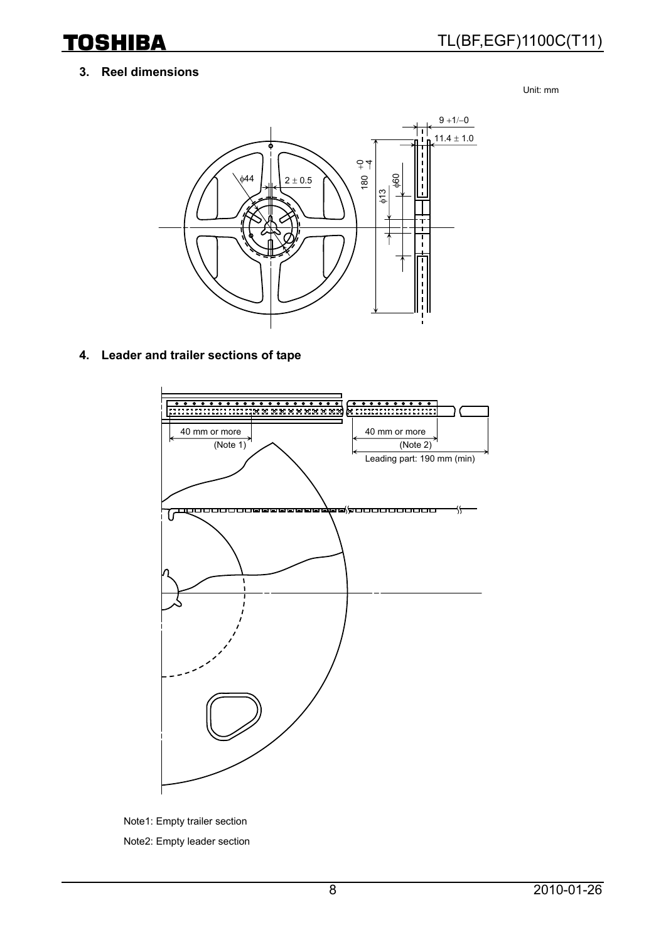### **3. Reel dimensions**

**TOSHIBA** 

Unit: mm



### **4. Leader and trailer sections of tape**



Note1: Empty trailer section Note2: Empty leader section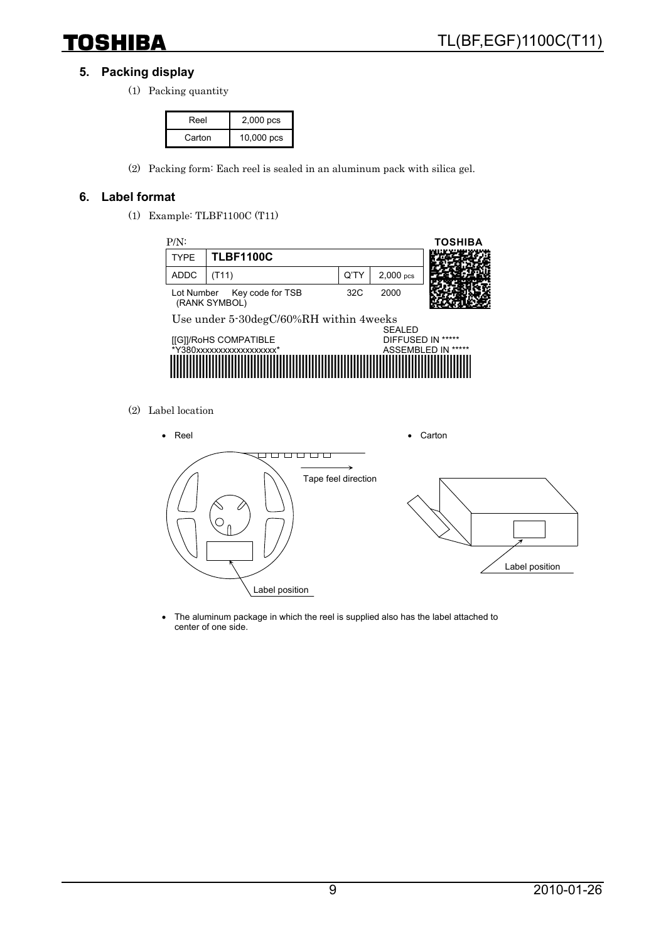

### **5. Packing display**

(1) Packing quantity

| Reel   | 2,000 pcs    |  |
|--------|--------------|--|
| Carton | $10,000$ pcs |  |

(2) Packing form: Each reel is sealed in an aluminum pack with silica gel.

### **6. Label format**

(1) Example: TLBF1100C (T11)



(2) Label location



• The aluminum package in which the reel is supplied also has the label attached to center of one side.